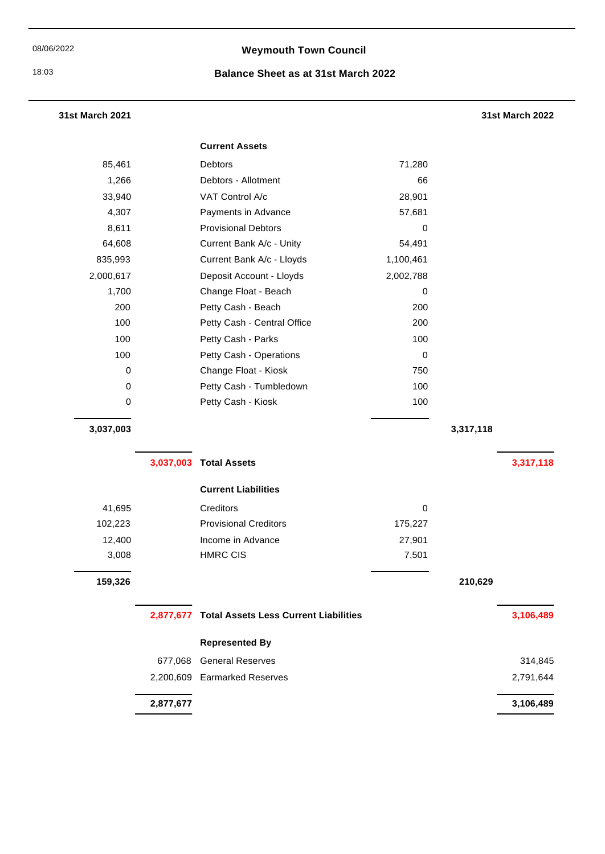# 08/06/2022 **Weymouth Town Council**

#### 18:03 **Balance Sheet as at 31st March 2022**

### **31st March 2021 31st March 2022**

|           | <b>Current Assets</b>       |           |
|-----------|-----------------------------|-----------|
| 85,461    | Debtors                     | 71,280    |
| 1,266     | Debtors - Allotment         | 66        |
| 33,940    | VAT Control A/c             | 28,901    |
| 4,307     | Payments in Advance         | 57,681    |
| 8,611     | <b>Provisional Debtors</b>  | 0         |
| 64,608    | Current Bank A/c - Unity    | 54,491    |
| 835,993   | Current Bank A/c - Lloyds   | 1,100,461 |
| 2,000,617 | Deposit Account - Lloyds    | 2,002,788 |
| 1,700     | Change Float - Beach        | 0         |
| 200       | Petty Cash - Beach          | 200       |
| 100       | Petty Cash - Central Office | 200       |
| 100       | Petty Cash - Parks          | 100       |
| 100       | Petty Cash - Operations     | 0         |
| 0         | Change Float - Kiosk        | 750       |
| 0         | Petty Cash - Tumbledown     | 100       |
| 0         | Petty Cash - Kiosk          | 100       |
|           |                             |           |

**3,037,003 3,317,118**

### **3,037,003 Total Assets 3,317,118**

# **Current Liabilities**

| 41,695  | Creditors                    | 0       |         |
|---------|------------------------------|---------|---------|
| 102,223 | <b>Provisional Creditors</b> | 175,227 |         |
| 12,400  | Income in Advance            | 27,901  |         |
| 3,008   | <b>HMRC CIS</b>              | 7,501   |         |
| 159,326 |                              |         | 210,629 |

|           | 2,877,677 Total Assets Less Current Liabilities | 3,106,489 |
|-----------|-------------------------------------------------|-----------|
|           | <b>Represented By</b>                           |           |
| 677.068   | <b>General Reserves</b>                         | 314.845   |
|           | 2,200,609 Earmarked Reserves                    | 2,791,644 |
| 2,877,677 |                                                 | 3,106,489 |